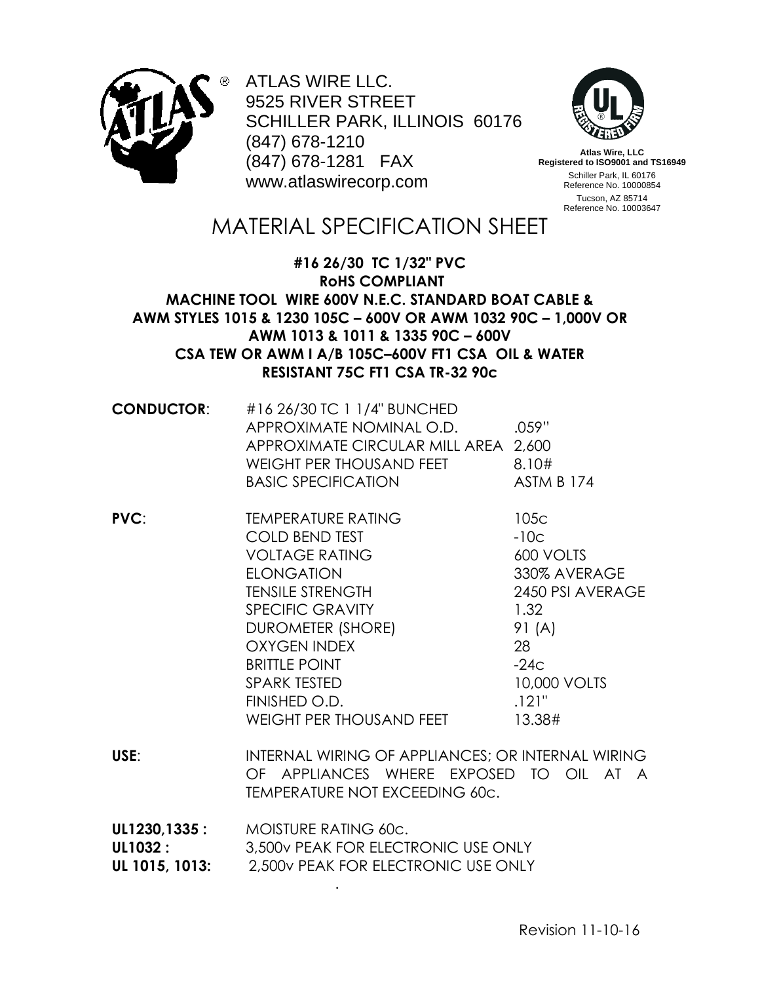

ATLAS WIRE LLC. 9525 RIVER STREET SCHILLER PARK, ILLINOIS 60176 (847) 678-1210 (847) 678-1281 FAX www.atlaswirecorp.com



**Atlas Wire, LLC Registered to ISO9001 and TS16949** Schiller Park, IL 60176 Reference No. 10000854 Tucson, AZ 85714 Reference No. 10003647

## MATERIAL SPECIFICATION SHEET

## **#16 26/30 TC 1/32" PVC RoHS COMPLIANT MACHINE TOOL WIRE 600V N.E.C. STANDARD BOAT CABLE & AWM STYLES 1015 & 1230 105C – 600V OR AWM 1032 90C – 1,000V OR AWM 1013 & 1011 & 1335 90C – 600V CSA TEW OR AWM I A/B 105C–600V FT1 CSA OIL & WATER RESISTANT 75C FT1 CSA TR-32 90c**

| <b>CONDUCTOR:</b> | #16 26/30 TC 1 1/4" BUNCHED<br>APPROXIMATE NOMINAL O.D.<br>APPROXIMATE CIRCULAR MILL AREA 2,600<br>WEIGHT PER THOUSAND FEET<br><b>BASIC SPECIFICATION</b> | .059"<br>8.10#<br><b>ASTM B 174</b>                                         |
|-------------------|-----------------------------------------------------------------------------------------------------------------------------------------------------------|-----------------------------------------------------------------------------|
| PVC:              | <b>TEMPERATURE RATING</b><br><b>COLD BEND TEST</b><br><b>VOLTAGE RATING</b><br><b>ELONGATION</b><br><b>TENSILE STRENGTH</b>                               | 105 <sub>C</sub><br>$-10c$<br>600 VOLTS<br>330% AVERAGE<br>2450 PSI AVERAGE |
|                   | <b>SPECIFIC GRAVITY</b><br>DUROMETER (SHORE)<br><b>OXYGEN INDEX</b><br><b>BRITTLE POINT</b><br><b>SPARK TESTED</b>                                        | 1.32<br>91 (A)<br>28<br>$-24c$<br>10,000 VOLTS                              |

**USE**: INTERNAL WIRING OF APPLIANCES; OR INTERNAL WIRING OF APPLIANCES WHERE EXPOSED TO OIL AT A TEMPERATURE NOT EXCEEDING 60c.

FINISHED O.D. 21" WEIGHT PER THOUSAND FEET 13.38#

| UL1230,1335 :  | MOISTURE RATING 60c.                |
|----------------|-------------------------------------|
| UL1032 :       | 3.500y PEAK FOR ELECTRONIC USE ONLY |
| UL 1015, 1013: | 2.500v PEAK FOR ELECTRONIC USE ONLY |

.